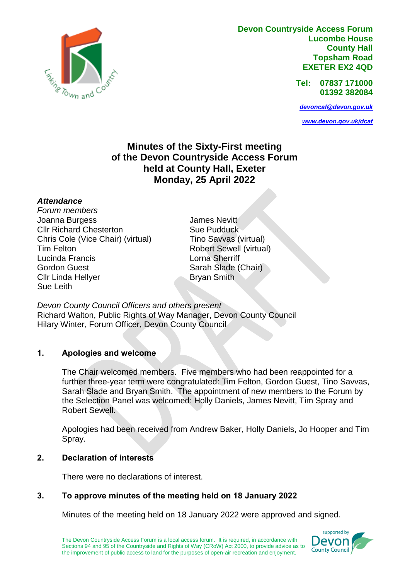

**Devon Countryside Access Forum Lucombe House County Hall Topsham Road EXETER EX2 4QD**

> **Tel: 07837 171000 01392 382084**

*[devoncaf@devon.gov.uk](mailto:devoncaf@devon.gov.uk)*

*[www.devon.gov.uk/dcaf](http://www.devon.gov.uk/dcaf)*

# **Minutes of the Sixty-First meeting of the Devon Countryside Access Forum held at County Hall, Exeter Monday, 25 April 2022**

#### *Attendance*

*Forum members* Joanna Burgess Cllr Richard Chesterton Chris Cole (Vice Chair) (virtual) Tim Felton Lucinda Francis Gordon Guest Cllr Linda Hellyer Sue Leith

James Nevitt Sue Pudduck Tino Savvas (virtual) Robert Sewell (virtual) Lorna Sherriff Sarah Slade (Chair) Bryan Smith

*Devon County Council Officers and others present* Richard Walton, Public Rights of Way Manager, Devon County Council Hilary Winter, Forum Officer, Devon County Council

#### **1. Apologies and welcome**

The Chair welcomed members. Five members who had been reappointed for a further three-year term were congratulated: Tim Felton, Gordon Guest, Tino Savvas, Sarah Slade and Bryan Smith. The appointment of new members to the Forum by the Selection Panel was welcomed: Holly Daniels, James Nevitt, Tim Spray and Robert Sewell.

Apologies had been received from Andrew Baker, Holly Daniels, Jo Hooper and Tim Spray.

### **2. Declaration of interests**

There were no declarations of interest.

#### **3. To approve minutes of the meeting held on 18 January 2022**

Minutes of the meeting held on 18 January 2022 were approved and signed.

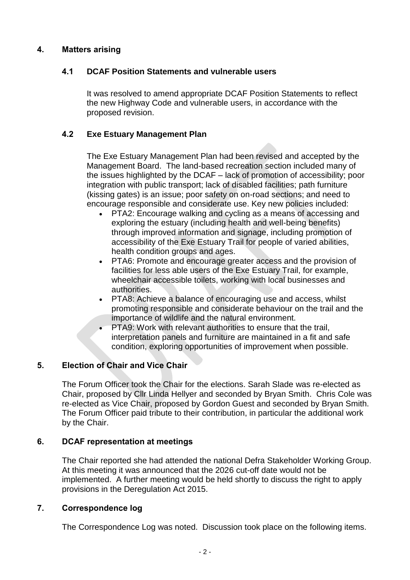# **4. Matters arising**

# **4.1 DCAF Position Statements and vulnerable users**

It was resolved to amend appropriate DCAF Position Statements to reflect the new Highway Code and vulnerable users, in accordance with the proposed revision.

# **4.2 Exe Estuary Management Plan**

The Exe Estuary Management Plan had been revised and accepted by the Management Board. The land-based recreation section included many of the issues highlighted by the DCAF – lack of promotion of accessibility; poor integration with public transport; lack of disabled facilities; path furniture (kissing gates) is an issue; poor safety on on-road sections; and need to encourage responsible and considerate use. Key new policies included:

- PTA2: Encourage walking and cycling as a means of accessing and exploring the estuary (including health and well-being benefits) through improved information and signage, including promotion of accessibility of the Exe Estuary Trail for people of varied abilities, health condition groups and ages.
- PTA6: Promote and encourage greater access and the provision of facilities for less able users of the Exe Estuary Trail, for example, wheelchair accessible toilets, working with local businesses and authorities.
- PTA8: Achieve a balance of encouraging use and access, whilst promoting responsible and considerate behaviour on the trail and the importance of wildlife and the natural environment.
- PTA9: Work with relevant authorities to ensure that the trail, interpretation panels and furniture are maintained in a fit and safe condition, exploring opportunities of improvement when possible.

# **5. Election of Chair and Vice Chair**

The Forum Officer took the Chair for the elections. Sarah Slade was re-elected as Chair, proposed by Cllr Linda Hellyer and seconded by Bryan Smith. Chris Cole was re-elected as Vice Chair, proposed by Gordon Guest and seconded by Bryan Smith. The Forum Officer paid tribute to their contribution, in particular the additional work by the Chair.

#### **6. DCAF representation at meetings**

The Chair reported she had attended the national Defra Stakeholder Working Group. At this meeting it was announced that the 2026 cut-off date would not be implemented. A further meeting would be held shortly to discuss the right to apply provisions in the Deregulation Act 2015.

#### **7. Correspondence log**

The Correspondence Log was noted. Discussion took place on the following items.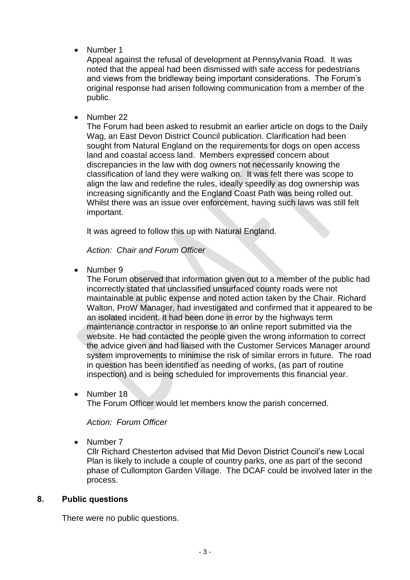Number 1

Appeal against the refusal of development at Pennsylvania Road. It was noted that the appeal had been dismissed with safe access for pedestrians and views from the bridleway being important considerations. The Forum's original response had arisen following communication from a member of the public.

• Number 22

The Forum had been asked to resubmit an earlier article on dogs to the Daily Wag, an East Devon District Council publication. Clarification had been sought from Natural England on the requirements for dogs on open access land and coastal access land. Members expressed concern about discrepancies in the law with dog owners not necessarily knowing the classification of land they were walking on. It was felt there was scope to align the law and redefine the rules, ideally speedily as dog ownership was increasing significantly and the England Coast Path was being rolled out. Whilst there was an issue over enforcement, having such laws was still felt important.

It was agreed to follow this up with Natural England.

*Action: Chair and Forum Officer*

• Number 9

The Forum observed that information given out to a member of the public had incorrectly stated that unclassified unsurfaced county roads were not maintainable at public expense and noted action taken by the Chair. Richard Walton, ProW Manager, had investigated and confirmed that it appeared to be an isolated incident. It had been done in error by the highways term maintenance contractor in response to an online report submitted via the website. He had contacted the people given the wrong information to correct the advice given and had liaised with the Customer Services Manager around system improvements to minimise the risk of similar errors in future. The road in question has been identified as needing of works, (as part of routine inspection) and is being scheduled for improvements this financial year.

• Number 18

The Forum Officer would let members know the parish concerned.

*Action: Forum Officer*

Number 7

Cllr Richard Chesterton advised that Mid Devon District Council's new Local Plan is likely to include a couple of country parks, one as part of the second phase of Cullompton Garden Village. The DCAF could be involved later in the process.

#### **8. Public questions**

There were no public questions.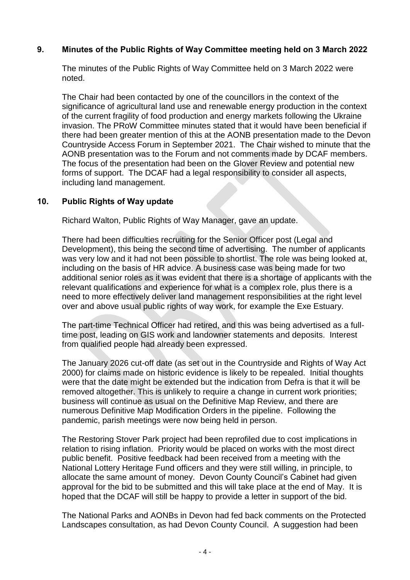### **9. Minutes of the Public Rights of Way Committee meeting held on 3 March 2022**

The minutes of the Public Rights of Way Committee held on 3 March 2022 were noted.

The Chair had been contacted by one of the councillors in the context of the significance of agricultural land use and renewable energy production in the context of the current fragility of food production and energy markets following the Ukraine invasion. The PRoW Committee minutes stated that it would have been beneficial if there had been greater mention of this at the AONB presentation made to the Devon Countryside Access Forum in September 2021. The Chair wished to minute that the AONB presentation was to the Forum and not comments made by DCAF members. The focus of the presentation had been on the Glover Review and potential new forms of support. The DCAF had a legal responsibility to consider all aspects, including land management.

## **10. Public Rights of Way update**

Richard Walton, Public Rights of Way Manager, gave an update.

There had been difficulties recruiting for the Senior Officer post (Legal and Development), this being the second time of advertising. The number of applicants was very low and it had not been possible to shortlist. The role was being looked at, including on the basis of HR advice. A business case was being made for two additional senior roles as it was evident that there is a shortage of applicants with the relevant qualifications and experience for what is a complex role, plus there is a need to more effectively deliver land management responsibilities at the right level over and above usual public rights of way work, for example the Exe Estuary.

The part-time Technical Officer had retired, and this was being advertised as a fulltime post, leading on GIS work and landowner statements and deposits. Interest from qualified people had already been expressed.

The January 2026 cut-off date (as set out in the Countryside and Rights of Way Act 2000) for claims made on historic evidence is likely to be repealed. Initial thoughts were that the date might be extended but the indication from Defra is that it will be removed altogether. This is unlikely to require a change in current work priorities; business will continue as usual on the Definitive Map Review, and there are numerous Definitive Map Modification Orders in the pipeline. Following the pandemic, parish meetings were now being held in person.

The Restoring Stover Park project had been reprofiled due to cost implications in relation to rising inflation. Priority would be placed on works with the most direct public benefit. Positive feedback had been received from a meeting with the National Lottery Heritage Fund officers and they were still willing, in principle, to allocate the same amount of money. Devon County Council's Cabinet had given approval for the bid to be submitted and this will take place at the end of May. It is hoped that the DCAF will still be happy to provide a letter in support of the bid.

The National Parks and AONBs in Devon had fed back comments on the Protected Landscapes consultation, as had Devon County Council. A suggestion had been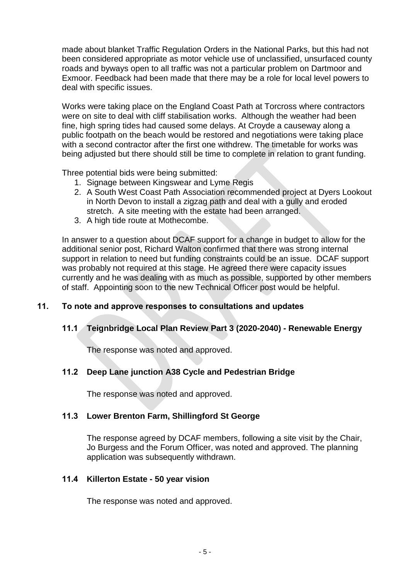made about blanket Traffic Regulation Orders in the National Parks, but this had not been considered appropriate as motor vehicle use of unclassified, unsurfaced county roads and byways open to all traffic was not a particular problem on Dartmoor and Exmoor. Feedback had been made that there may be a role for local level powers to deal with specific issues.

Works were taking place on the England Coast Path at Torcross where contractors were on site to deal with cliff stabilisation works. Although the weather had been fine, high spring tides had caused some delays. At Croyde a causeway along a public footpath on the beach would be restored and negotiations were taking place with a second contractor after the first one withdrew. The timetable for works was being adjusted but there should still be time to complete in relation to grant funding.

Three potential bids were being submitted:

- 1. Signage between Kingswear and Lyme Regis
- 2. A South West Coast Path Association recommended project at Dyers Lookout in North Devon to install a zigzag path and deal with a gully and eroded stretch. A site meeting with the estate had been arranged.
- 3. A high tide route at Mothecombe.

In answer to a question about DCAF support for a change in budget to allow for the additional senior post, Richard Walton confirmed that there was strong internal support in relation to need but funding constraints could be an issue. DCAF support was probably not required at this stage. He agreed there were capacity issues currently and he was dealing with as much as possible, supported by other members of staff. Appointing soon to the new Technical Officer post would be helpful.

#### **11. To note and approve responses to consultations and updates**

#### **11.1 Teignbridge Local Plan Review Part 3 (2020-2040) - Renewable Energy**

The response was noted and approved.

#### **11.2 Deep Lane junction A38 Cycle and Pedestrian Bridge**

The response was noted and approved.

#### **11.3 Lower Brenton Farm, Shillingford St George**

The response agreed by DCAF members, following a site visit by the Chair, Jo Burgess and the Forum Officer, was noted and approved. The planning application was subsequently withdrawn.

#### **11.4 Killerton Estate - 50 year vision**

The response was noted and approved.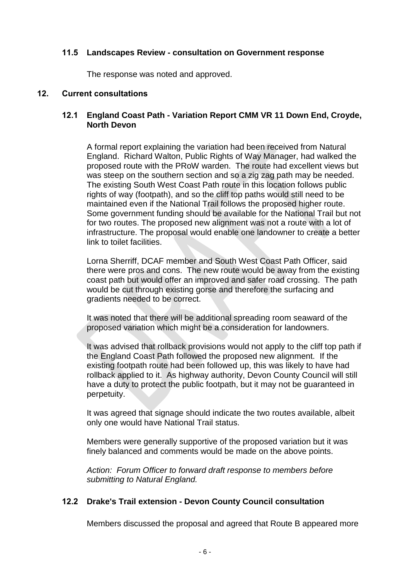#### **11.5 Landscapes Review - consultation on Government response**

The response was noted and approved.

#### **12. Current consultations**

### **12.1 England Coast Path - Variation Report CMM VR 11 Down End, Croyde, North Devon**

A formal report explaining the variation had been received from Natural England. Richard Walton, Public Rights of Way Manager, had walked the proposed route with the PRoW warden. The route had excellent views but was steep on the southern section and so a zig zag path may be needed. The existing South West Coast Path route in this location follows public rights of way (footpath), and so the cliff top paths would still need to be maintained even if the National Trail follows the proposed higher route. Some government funding should be available for the National Trail but not for two routes. The proposed new alignment was not a route with a lot of infrastructure. The proposal would enable one landowner to create a better link to toilet facilities.

Lorna Sherriff, DCAF member and South West Coast Path Officer, said there were pros and cons. The new route would be away from the existing coast path but would offer an improved and safer road crossing. The path would be cut through existing gorse and therefore the surfacing and gradients needed to be correct.

It was noted that there will be additional spreading room seaward of the proposed variation which might be a consideration for landowners.

It was advised that rollback provisions would not apply to the cliff top path if the England Coast Path followed the proposed new alignment. If the existing footpath route had been followed up, this was likely to have had rollback applied to it. As highway authority, Devon County Council will still have a duty to protect the public footpath, but it may not be guaranteed in perpetuity.

It was agreed that signage should indicate the two routes available, albeit only one would have National Trail status.

Members were generally supportive of the proposed variation but it was finely balanced and comments would be made on the above points.

*Action: Forum Officer to forward draft response to members before submitting to Natural England.*

#### **12.2 Drake's Trail extension - Devon County Council consultation**

Members discussed the proposal and agreed that Route B appeared more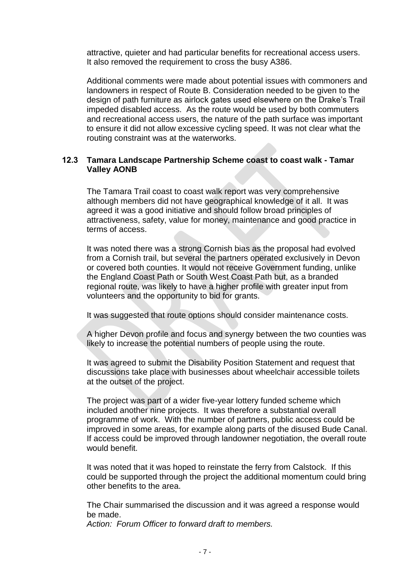attractive, quieter and had particular benefits for recreational access users. It also removed the requirement to cross the busy A386.

Additional comments were made about potential issues with commoners and landowners in respect of Route B. Consideration needed to be given to the design of path furniture as airlock gates used elsewhere on the Drake's Trail impeded disabled access. As the route would be used by both commuters and recreational access users, the nature of the path surface was important to ensure it did not allow excessive cycling speed. It was not clear what the routing constraint was at the waterworks.

### **12.3 Tamara Landscape Partnership Scheme coast to coast walk - Tamar Valley AONB**

The Tamara Trail coast to coast walk report was very comprehensive although members did not have geographical knowledge of it all. It was agreed it was a good initiative and should follow broad principles of attractiveness, safety, value for money, maintenance and good practice in terms of access.

It was noted there was a strong Cornish bias as the proposal had evolved from a Cornish trail, but several the partners operated exclusively in Devon or covered both counties. It would not receive Government funding, unlike the England Coast Path or South West Coast Path but, as a branded regional route, was likely to have a higher profile with greater input from volunteers and the opportunity to bid for grants.

It was suggested that route options should consider maintenance costs.

A higher Devon profile and focus and synergy between the two counties was likely to increase the potential numbers of people using the route.

It was agreed to submit the Disability Position Statement and request that discussions take place with businesses about wheelchair accessible toilets at the outset of the project.

The project was part of a wider five-year lottery funded scheme which included another nine projects. It was therefore a substantial overall programme of work. With the number of partners, public access could be improved in some areas, for example along parts of the disused Bude Canal. If access could be improved through landowner negotiation, the overall route would benefit.

It was noted that it was hoped to reinstate the ferry from Calstock. If this could be supported through the project the additional momentum could bring other benefits to the area.

The Chair summarised the discussion and it was agreed a response would be made.

*Action: Forum Officer to forward draft to members.*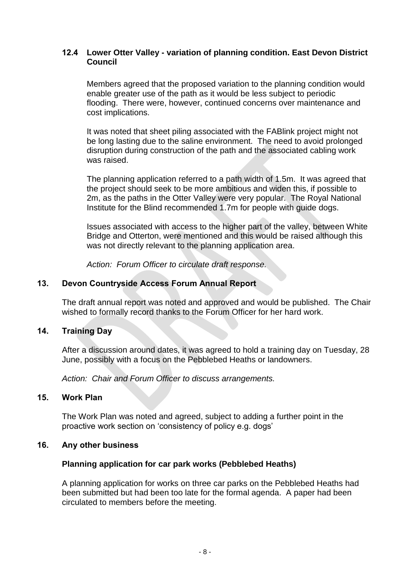### **12.4 Lower Otter Valley - variation of planning condition. East Devon District Council**

Members agreed that the proposed variation to the planning condition would enable greater use of the path as it would be less subject to periodic flooding. There were, however, continued concerns over maintenance and cost implications.

It was noted that sheet piling associated with the FABlink project might not be long lasting due to the saline environment. The need to avoid prolonged disruption during construction of the path and the associated cabling work was raised.

The planning application referred to a path width of 1.5m. It was agreed that the project should seek to be more ambitious and widen this, if possible to 2m, as the paths in the Otter Valley were very popular. The Royal National Institute for the Blind recommended 1.7m for people with guide dogs.

Issues associated with access to the higher part of the valley, between White Bridge and Otterton, were mentioned and this would be raised although this was not directly relevant to the planning application area.

*Action: Forum Officer to circulate draft response.*

# **13. Devon Countryside Access Forum Annual Report**

The draft annual report was noted and approved and would be published. The Chair wished to formally record thanks to the Forum Officer for her hard work.

#### **14. Training Day**

After a discussion around dates, it was agreed to hold a training day on Tuesday, 28 June, possibly with a focus on the Pebblebed Heaths or landowners.

*Action: Chair and Forum Officer to discuss arrangements.*

#### **15. Work Plan**

The Work Plan was noted and agreed, subject to adding a further point in the proactive work section on 'consistency of policy e.g. dogs'

#### **16. Any other business**

#### **Planning application for car park works (Pebblebed Heaths)**

A planning application for works on three car parks on the Pebblebed Heaths had been submitted but had been too late for the formal agenda. A paper had been circulated to members before the meeting.